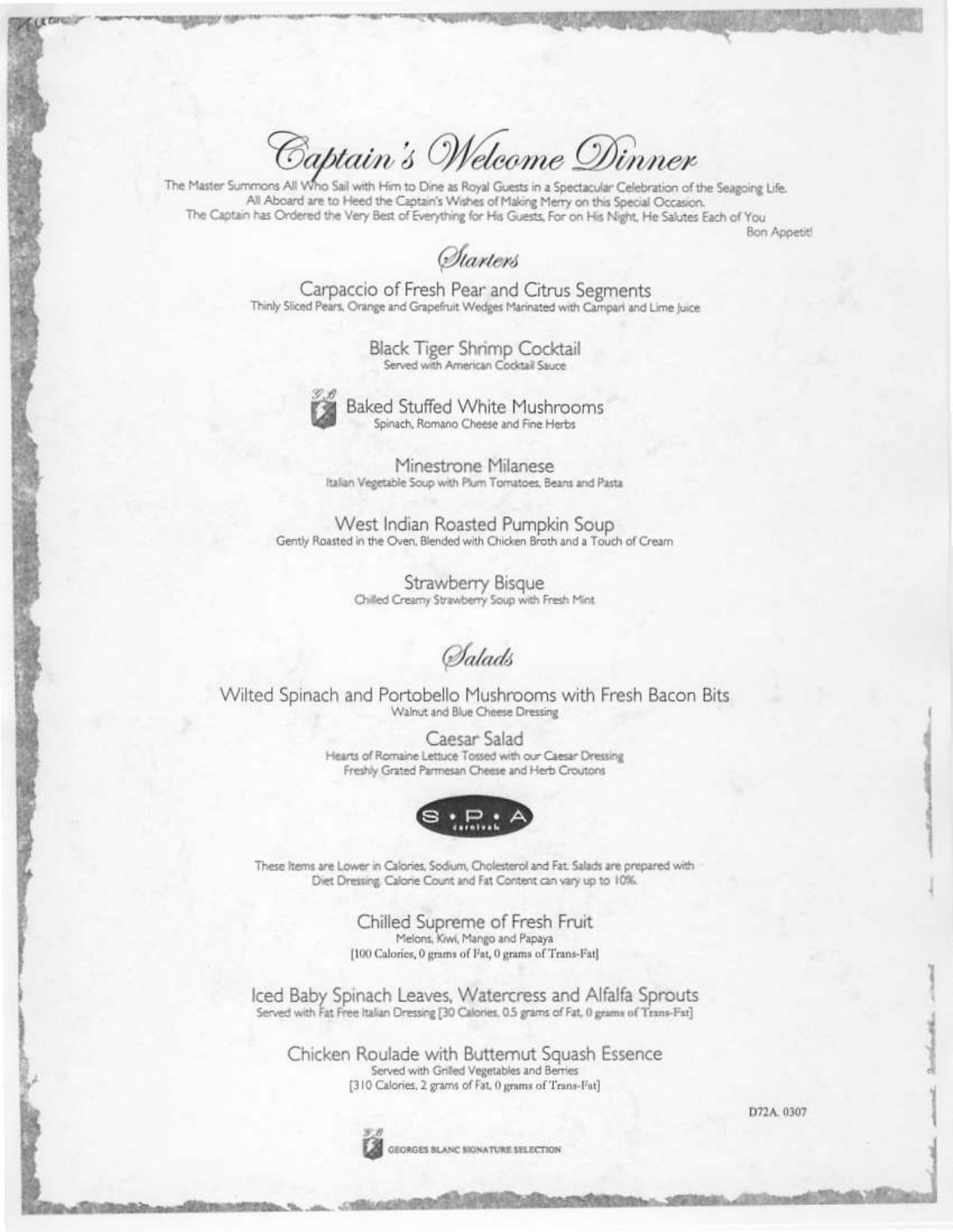Captain's Welcome Dinner

The Master Summons All Who Sail with Him to Dine as Royal Guests in a Spectacular Celebration of the Seagoing Life. All Aboard are to Heed the Captain's Wishes of Making Merry on this Special Occasion. The Captain has Ordered the Very Best of Everything for His Guests, For on His Night, He Salutes Each of You

**Bon Appetit!** 

*Starters* 

Carpaccio of Fresh Pear and Citrus Segments Thinly Sliced Pears, Orange and Grapefruit Wedges Marinated with Campari and Lime Juice

> Black Tiger Shrimp Cocktail Served with American Cocktail Sauce



**Baked Stuffed White Mushrooms** Spinach, Romano Cheese and Fine Herbs

Minestrone Milanese Italian Vegetable Soup with Plum Tomatoes, Beans and Pasta.

West Indian Roasted Pumpkin Soup Gently Roasted in the Oven, Blended with Chicken Broth and a Touch of Cream

> Strawberry Bisque Chilled Creamy Strawberry Soup with Fresh Mint

**S**alads

Wilted Spinach and Portobello Mushrooms with Fresh Bacon Bits Walnut and Blue Cheese Dressing

> Caesar Salad Hearts of Romaine Lettuce Tossed with our Caesar Dressing Freshly Grated Parmesan Cheese and Herb Croutons



These Items are Lower in Calories, Sodium, Cholesterol and Fat. Salads are prepared with Diet Dressing, Calorie Count and Fat Content can vary up to 10%.

> Chilled Supreme of Fresh Fruit Melons, Kiwi, Mango and Papaya [100 Calories, 0 grams of Fat, 0 grams of Trans-Fat]

Iced Baby Spinach Leaves, Watercress and Alfalfa Sprouts Served with Fat Free Italian Dressing [30 Calories, 0.5 grams of Fat, 0 grams of Trans-Fat]

Chicken Roulade with Butternut Squash Essence Served with Grilled Vegetables and Berries [310 Calories, 2 grams of Fat, 0 grams of Trans-Fat]



GEORGES BLANC SIGNATURE SELECTION

D72A. 0307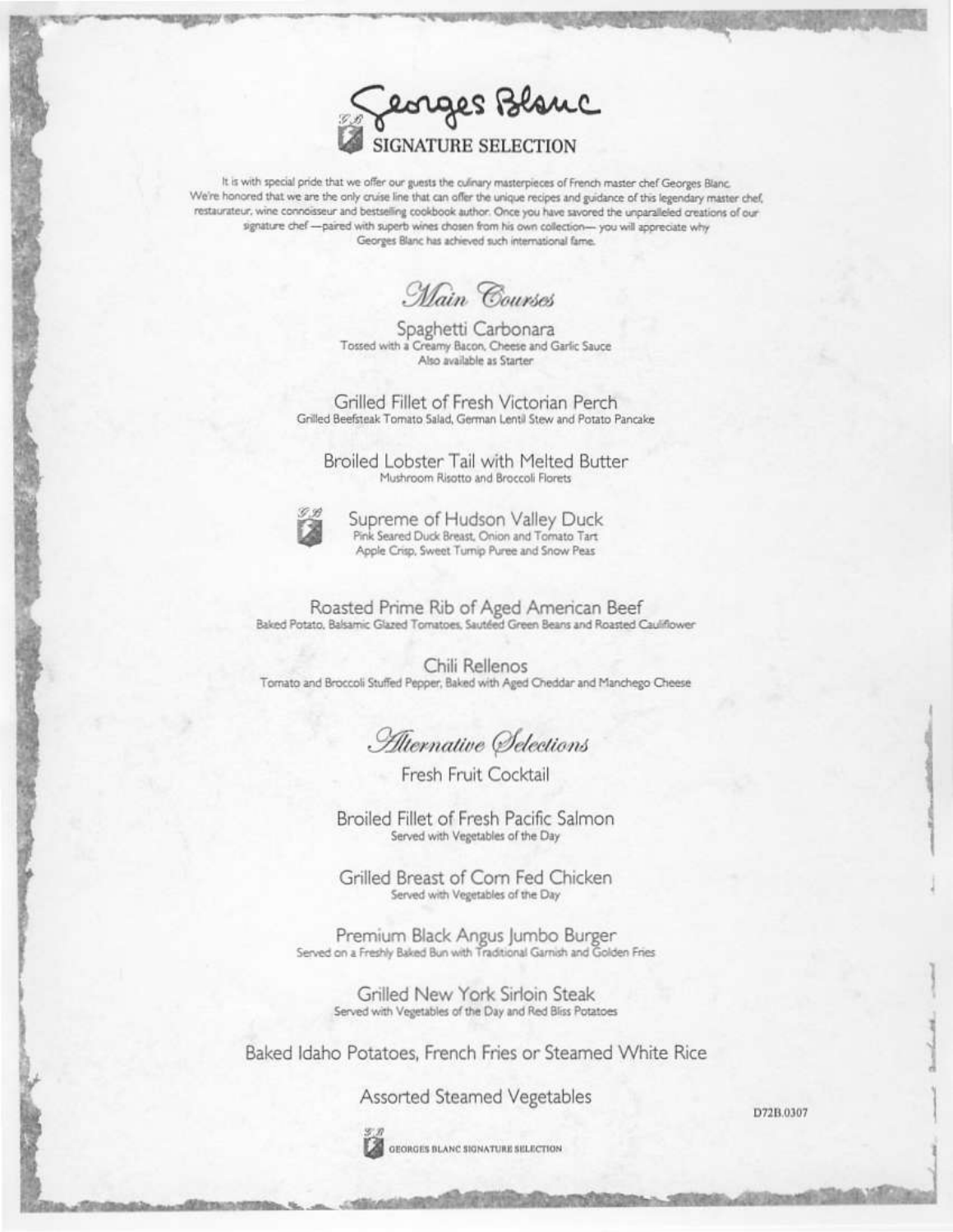eorges Blanc **GNATURE SELEC** 

It is with special pride that we offer our guests the culinary masterpieces of French master chef Georges Blanc. We're honored that we are the only cruise line that can offer the unique recipes and guidance of this legendary master chef, restaurateur, wine connoisseur and bestselling cookbook author. Once you have savored the unparalleled creations of our signature chef -- paired with superb wines chosen from his own collection-you will appreciate why Georges Blanc has achieved such international fame.

Main Courses

Spaghetti Carbonara Tossed with a Creamy Bacon, Cheese and Garlic Sauce Also available as Starter

Grilled Fillet of Fresh Victorian Perch Grilled Beefsteak Tomato Salad, German Lentil Stew and Potato Pancake

Broiled Lobster Tail with Melted Butter Mushroom Risotto and Broccoli Florets



Supreme of Hudson Valley Duck Pink Seared Duck Breast, Onion and Tomato Tart Apple Crisp, Sweet Turnip Puree and Snow Peas

Roasted Prime Rib of Aged American Beef<br>Baked Potato, Balsamic Glazed Tomatoes, Sautéed Green Beans and Roasted Cauliflower

Chili Rellenos Tornato and Broccoli Stuffed Pepper, Baked with Aged Cheddar and Manchego Cheese

Alternative Selections

Fresh Fruit Cocktail

Broiled Fillet of Fresh Pacific Salmon Served with Vegetables of the Day

Grilled Breast of Corn Fed Chicken Served with Vegetables of the Day

Premium Black Angus Jumbo Burger Served on a Freshly Baked Bun with Traditional Garnish and Golden Fries

> Grilled New York Sirloin Steak Served with Vegetables of the Day and Red Bliss Potatoes

Baked Idaho Potatoes, French Fries or Steamed White Rice

Assorted Steamed Vegetables

D72B.0307



GEORGES BLANC SIGNATURE SELECTION